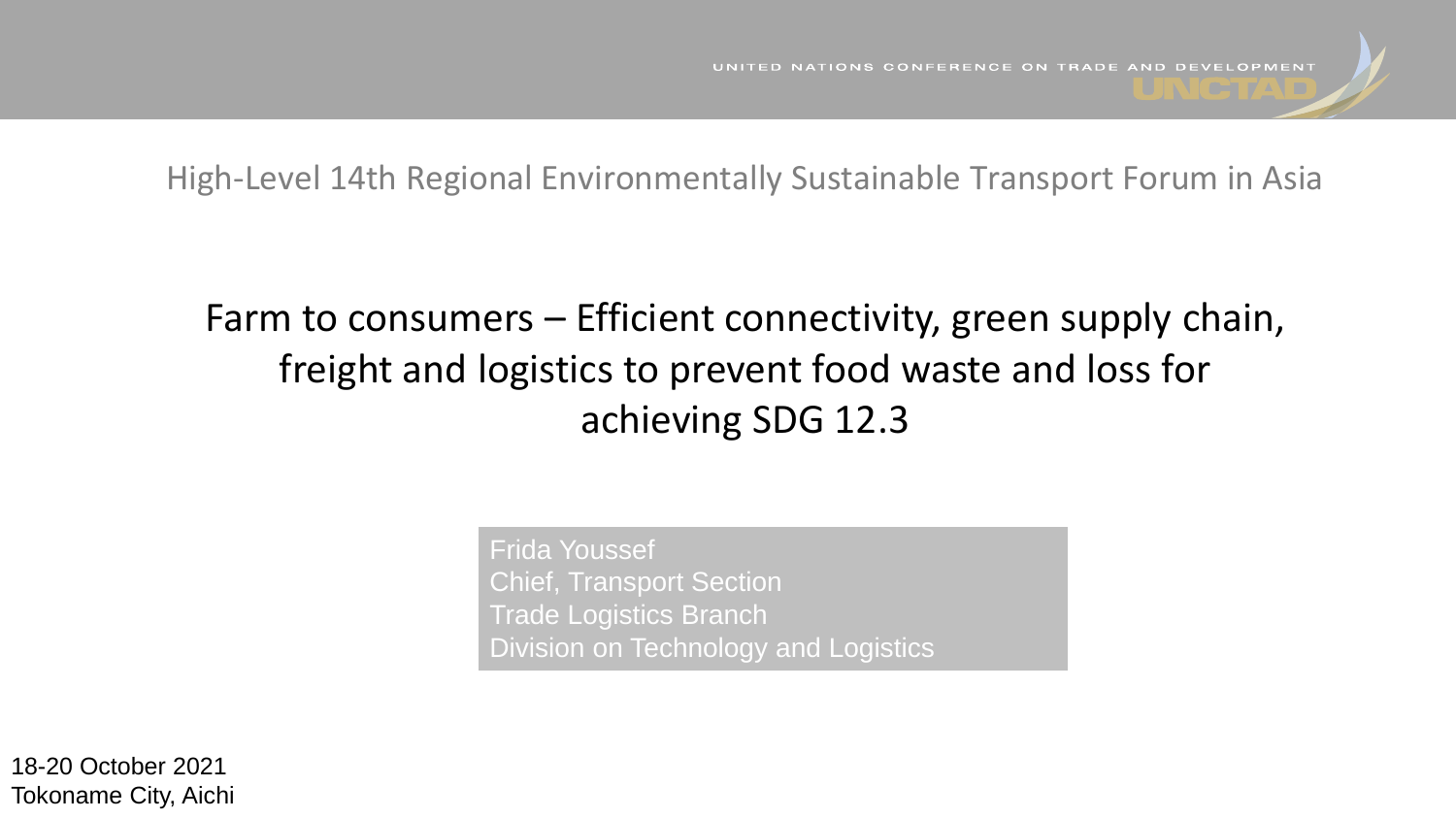High-Level 14th Regional Environmentally Sustainable Transport Forum in Asia

# Farm to consumers – Efficient connectivity, green supply chain, freight and logistics to prevent food waste and loss for achieving SDG 12.3

Frida Youssef Chief, Transport Section Trade Logistics Branch Division on Technology and Logistics

18-20 October 2021 Tokoname City, Aichi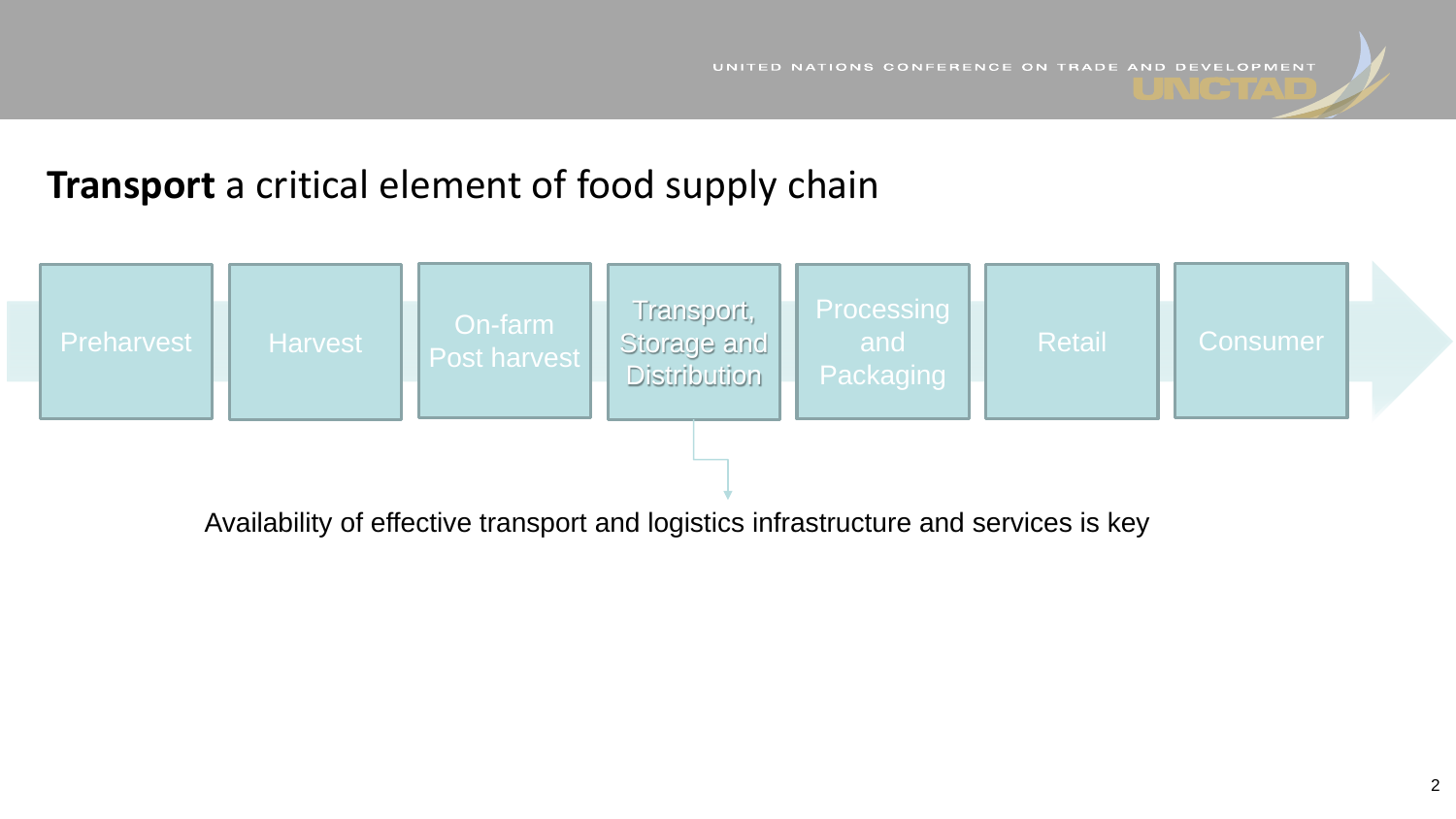## **Transport** a critical element of food supply chain



Availability of effective transport and logistics infrastructure and services is key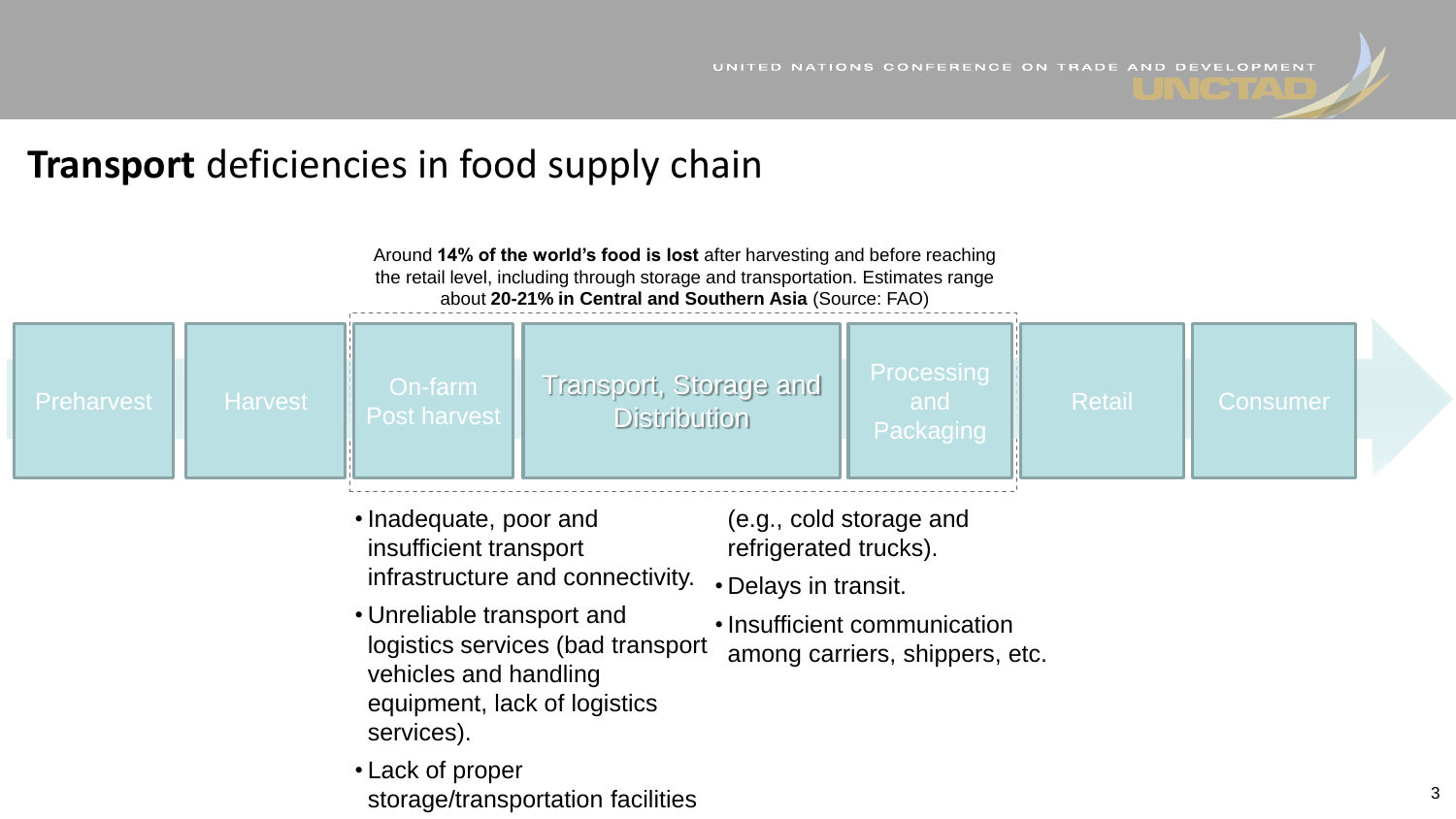## **Transport** deficiencies in food supply chain

| Around 14% of the world's food is lost after harvesting and before reaching<br>the retail level, including through storage and transportation. Estimates range<br>about 20-21% in Central and Southern Asia (Source: FAO) |                |                                |                                               |                                       |               |          |  |
|---------------------------------------------------------------------------------------------------------------------------------------------------------------------------------------------------------------------------|----------------|--------------------------------|-----------------------------------------------|---------------------------------------|---------------|----------|--|
| <b>Preharvest</b>                                                                                                                                                                                                         | <b>Harvest</b> | On-farm<br><b>Post harvest</b> | Transport, Storage and<br><b>Distribution</b> | <b>Processing</b><br>and<br>Packaging | <b>Retail</b> | Consumer |  |

- Inadequate, poor and insufficient transport infrastructure and connectivity.
- Unreliable transport and logistics services (bad transport vehicles and handling equipment, lack of logistics services).
- Lack of proper storage/transportation facilities
- (e.g., cold storage and refrigerated trucks).
- Delays in transit.
- Insufficient communication among carriers, shippers, etc.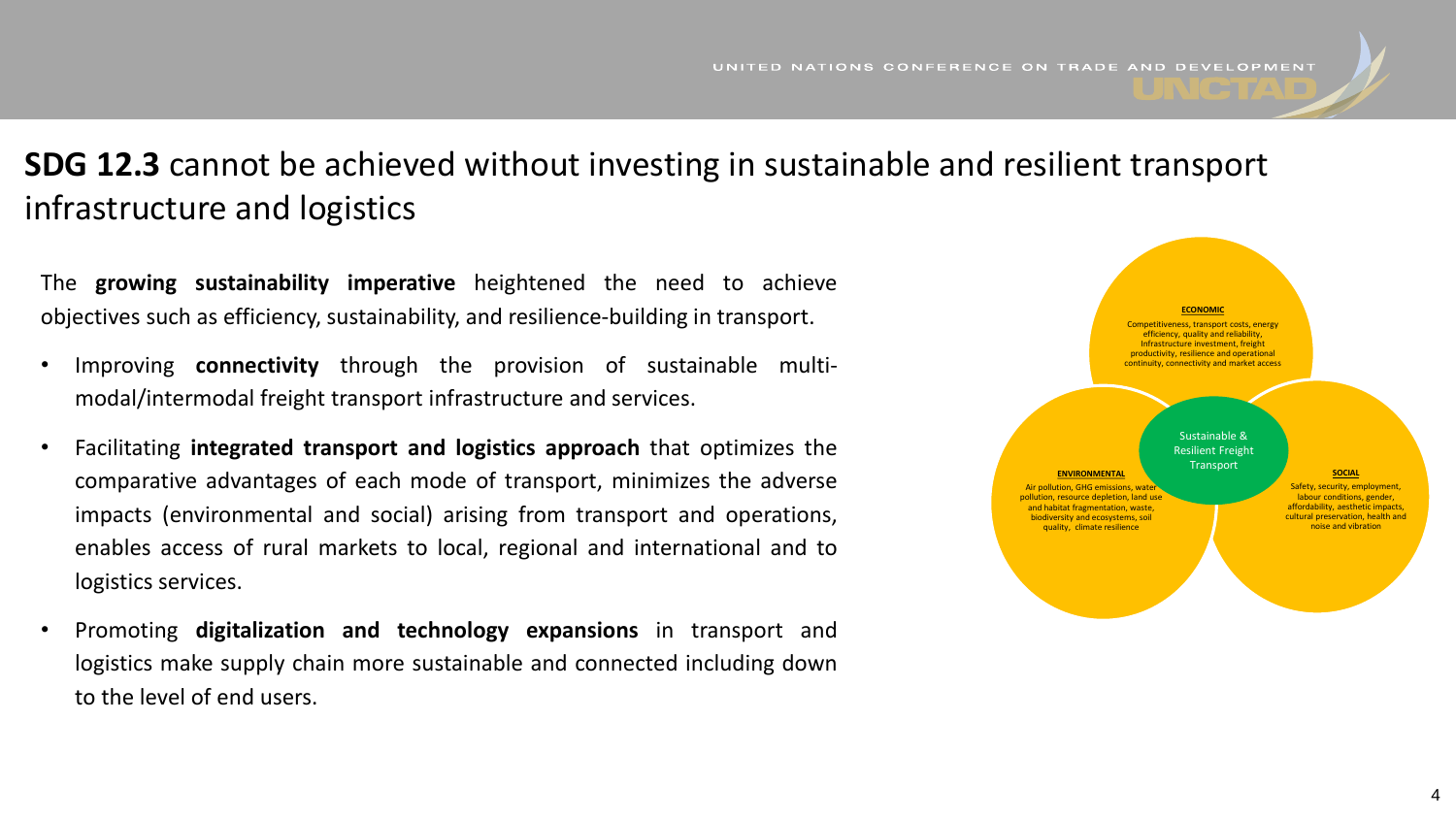### **SDG 12.3** cannot be achieved without investing in sustainable and resilient transport infrastructure and logistics

The **growing sustainability imperative** heightened the need to achieve objectives such as efficiency, sustainability, and resilience-building in transport.

- Improving **connectivity** through the provision of sustainable multimodal/intermodal freight transport infrastructure and services.
- Facilitating **integrated transport and logistics approach** that optimizes the comparative advantages of each mode of transport, minimizes the adverse impacts (environmental and social) arising from transport and operations, enables access of rural markets to local, regional and international and to logistics services.
- Promoting **digitalization and technology expansions** in transport and logistics make supply chain more sustainable and connected including down to the level of end users.

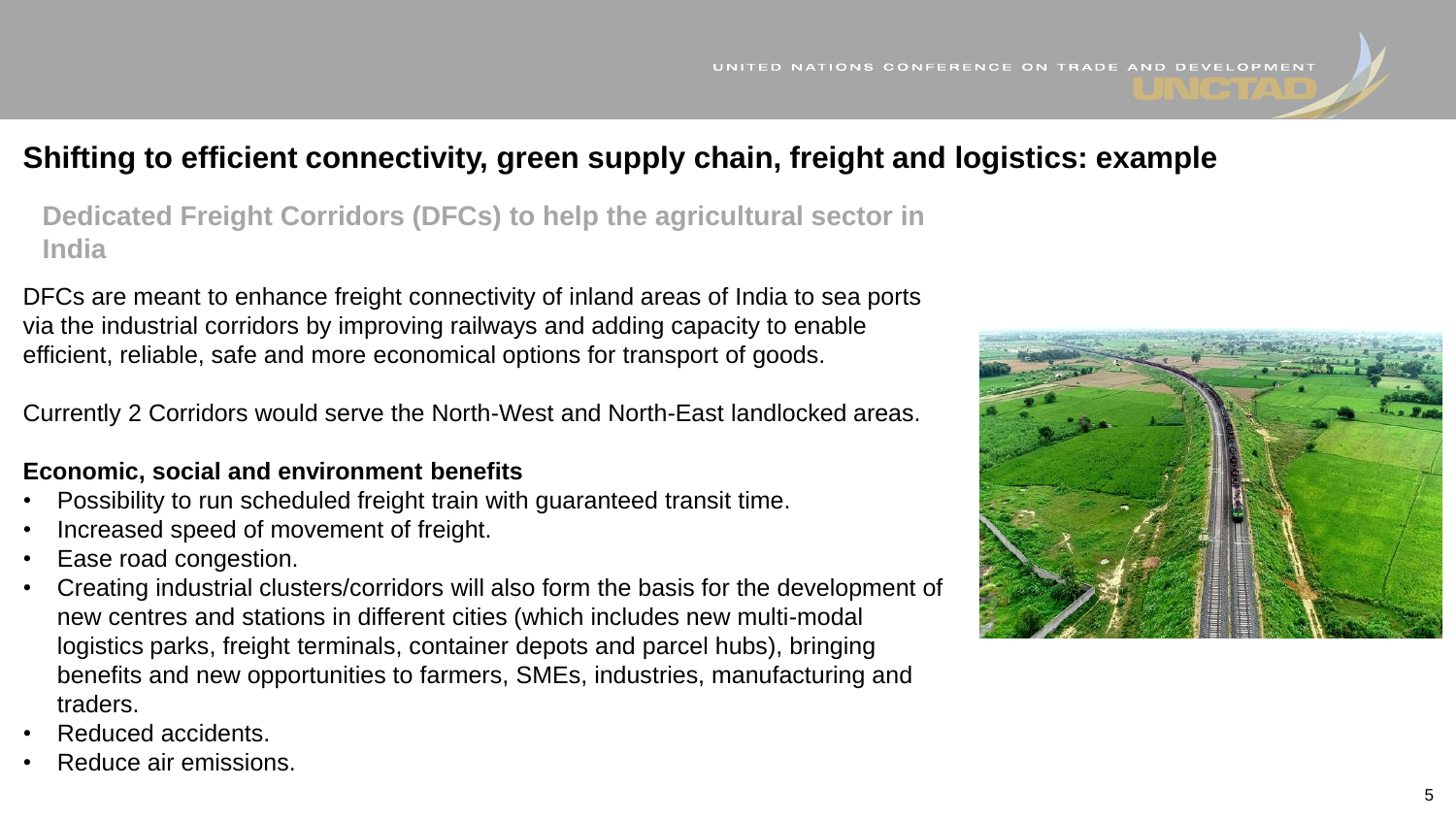#### **Shifting to efficient connectivity, green supply chain, freight and logistics: example**

**Dedicated Freight Corridors (DFCs) to help the agricultural sector in India**

DFCs are meant to enhance freight connectivity of inland areas of India to sea ports via the industrial corridors by improving railways and adding capacity to enable efficient, reliable, safe and more economical options for transport of goods.

Currently 2 Corridors would serve the North-West and North-East landlocked areas.

#### **Economic, social and environment benefits**

- Possibility to run scheduled freight train with guaranteed transit time.
- Increased speed of movement of freight.
- Ease road congestion.
- Creating industrial clusters/corridors will also form the basis for the development of new centres and stations in different cities (which includes new multi-modal logistics parks, freight terminals, container depots and parcel hubs), bringing benefits and new opportunities to farmers, SMEs, industries, manufacturing and traders.
- Reduced accidents.
- Reduce air emissions.

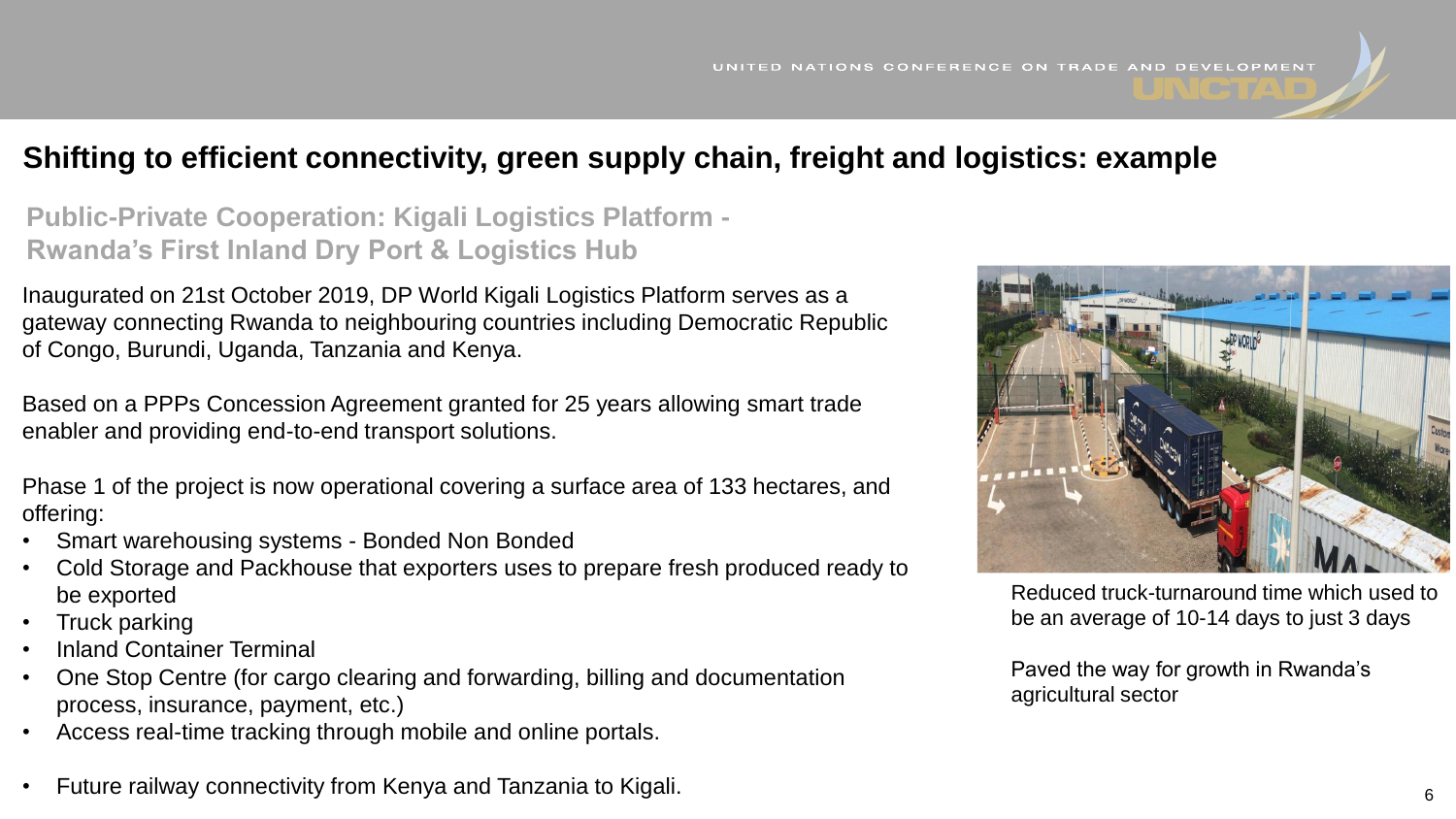#### **Shifting to efficient connectivity, green supply chain, freight and logistics: example**

**Public-Private Cooperation: Kigali Logistics Platform - Rwanda's First Inland Dry Port & Logistics Hub**

Inaugurated on 21st October 2019, DP World Kigali Logistics Platform serves as a gateway connecting Rwanda to neighbouring countries including Democratic Republic of Congo, Burundi, Uganda, Tanzania and Kenya.

Based on a PPPs Concession Agreement granted for 25 years allowing smart trade enabler and providing end-to-end transport solutions.

Phase 1 of the project is now operational covering a surface area of 133 hectares, and offering:

- Smart warehousing systems Bonded Non Bonded
- Cold Storage and Packhouse that exporters uses to prepare fresh produced ready to be exported
- Truck parking
- Inland Container Terminal
- One Stop Centre (for cargo clearing and forwarding, billing and documentation process, insurance, payment, etc.)
- Access real-time tracking through mobile and online portals.
- Future railway connectivity from Kenya and Tanzania to Kigali.



Reduced truck-turnaround time which used to be an average of 10-14 days to just 3 days

Paved the way for growth in Rwanda's agricultural sector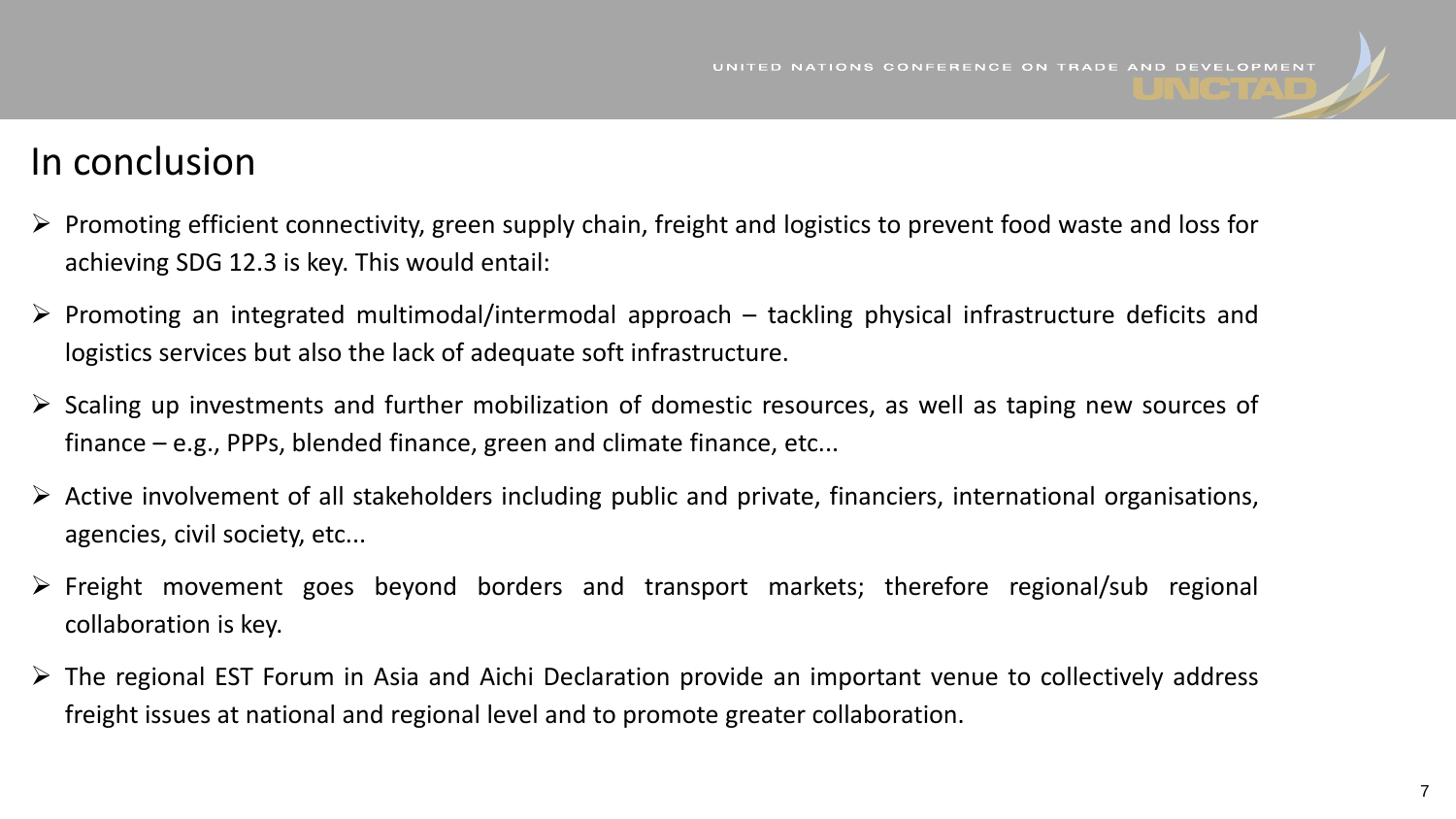## In conclusion

- $\triangleright$  Promoting efficient connectivity, green supply chain, freight and logistics to prevent food waste and loss for achieving SDG 12.3 is key. This would entail:
- $\triangleright$  Promoting an integrated multimodal/intermodal approach tackling physical infrastructure deficits and logistics services but also the lack of adequate soft infrastructure.
- $\triangleright$  Scaling up investments and further mobilization of domestic resources, as well as taping new sources of finance – e.g., PPPs, blended finance, green and climate finance, etc...
- $\triangleright$  Active involvement of all stakeholders including public and private, financiers, international organisations, agencies, civil society, etc...
- ➢ Freight movement goes beyond borders and transport markets; therefore regional/sub regional collaboration is key.
- ➢ The regional EST Forum in Asia and Aichi Declaration provide an important venue to collectively address freight issues at national and regional level and to promote greater collaboration.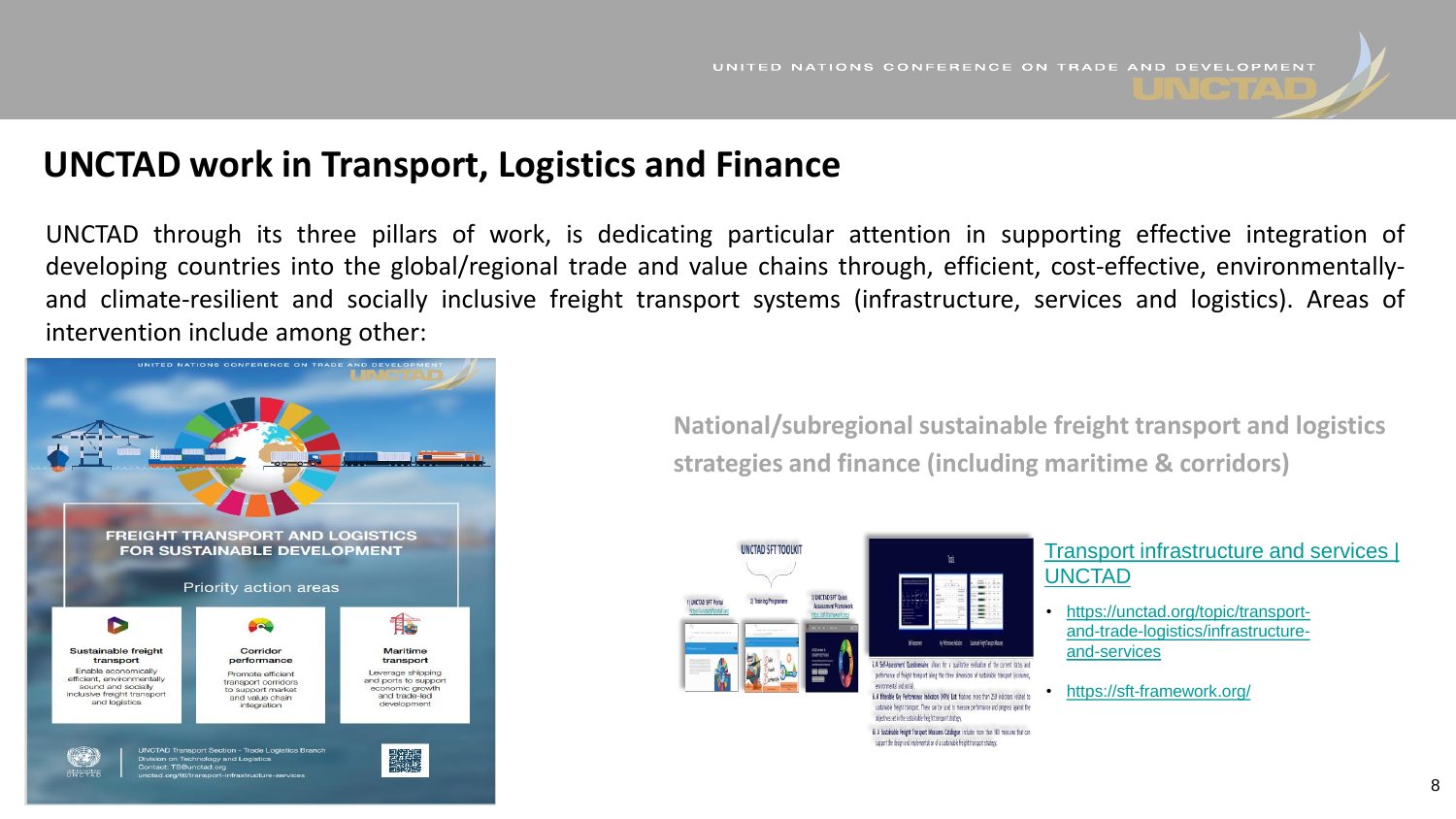#### **UNCTAD work in Transport, Logistics and Finance**

UNCTAD through its three pillars of work, is dedicating particular attention in supporting effective integration of developing countries into the global/regional trade and value chains through, efficient, cost-effective, environmentallyand climate-resilient and socially inclusive freight transport systems (infrastructure, services and logistics). Areas of intervention include among other:



**National/subregional sustainable freight transport and logistics strategies and finance (including maritime & corridors)**





#### erformance of freight transport along the three dimensions of sustainable transport (econom Ising hos Istremonial ii. A filterable Key Performance Indicators (KPIs) List: features more than 250 indicators related to sustainable freight transport. These can be used to measure performance and progress against the

objectives set in the sustainable freight transport strategy. iii. A Sustainable Freight Transport Measures Catalogue: includes more than 300 measures that can support the design and implementation of a sustainable freight transport strategy.

#### [Transport infrastructure and services |](https://unctad.org/topic/transport-and-trade-logistics/infrastructure-and-services)  UNCTAD

- https://unctad.org/topic/transport[and-trade-logistics/infrastructure](https://unctad.org/topic/transport-and-trade-logistics/infrastructure-and-services)and-services
	- <https://sft-framework.org/>